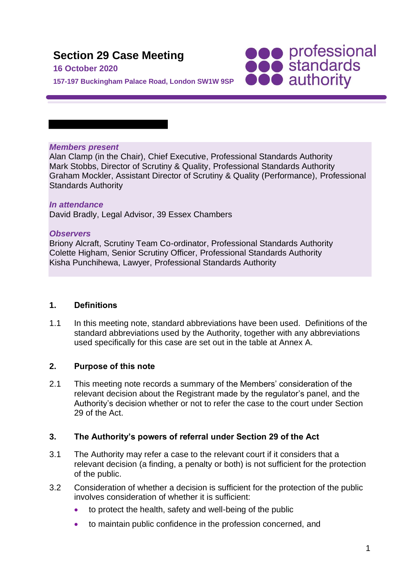# **Section 29 Case Meeting**

### **16 October 2020**

**SOO professional**<br> **SOO standards**<br> **OOO** authority

**157-197 Buckingham Palace Road, London SW1W 9SP**

### *Members present*

Alan Clamp (in the Chair), Chief Executive, Professional Standards Authority Mark Stobbs, Director of Scrutiny & Quality, Professional Standards Authority Graham Mockler, Assistant Director of Scrutiny & Quality (Performance), Professional Standards Authority

### *In attendance*

David Bradly, Legal Advisor, 39 Essex Chambers

#### *Observers*

Briony Alcraft, Scrutiny Team Co-ordinator, Professional Standards Authority Colette Higham, Senior Scrutiny Officer, Professional Standards Authority Kisha Punchihewa, Lawyer, Professional Standards Authority

# **1. Definitions**

1.1 In this meeting note, standard abbreviations have been used. Definitions of the standard abbreviations used by the Authority, together with any abbreviations used specifically for this case are set out in the table at Annex A.

# **2. Purpose of this note**

2.1 This meeting note records a summary of the Members' consideration of the relevant decision about the Registrant made by the regulator's panel, and the Authority's decision whether or not to refer the case to the court under Section 29 of the Act.

# **3. The Authority's powers of referral under Section 29 of the Act**

- 3.1 The Authority may refer a case to the relevant court if it considers that a relevant decision (a finding, a penalty or both) is not sufficient for the protection of the public.
- 3.2 Consideration of whether a decision is sufficient for the protection of the public involves consideration of whether it is sufficient:
	- to protect the health, safety and well-being of the public
	- to maintain public confidence in the profession concerned, and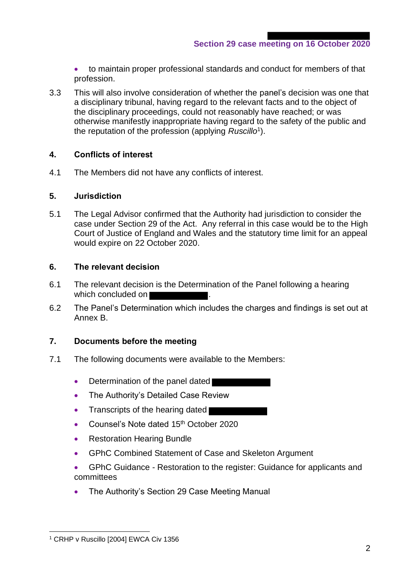**Section 29 case meeting on 16 October 2020**

• to maintain proper professional standards and conduct for members of that profession.

3.3 This will also involve consideration of whether the panel's decision was one that a disciplinary tribunal, having regard to the relevant facts and to the object of the disciplinary proceedings, could not reasonably have reached; or was otherwise manifestly inappropriate having regard to the safety of the public and the reputation of the profession (applying *Ruscillo*<sup>1</sup> ).

#### **4. Conflicts of interest**

4.1 The Members did not have any conflicts of interest.

#### **5. Jurisdiction**

5.1 The Legal Advisor confirmed that the Authority had jurisdiction to consider the case under Section 29 of the Act. Any referral in this case would be to the High Court of Justice of England and Wales and the statutory time limit for an appeal would expire on 22 October 2020.

#### **6. The relevant decision**

- 6.1 The relevant decision is the Determination of the Panel following a hearing which concluded on
- 6.2 The Panel's Determination which includes the charges and findings is set out at Annex B.

#### **7. Documents before the meeting**

- 7.1 The following documents were available to the Members:
	- Determination of the panel dated
	- The Authority's Detailed Case Review
	- Transcripts of the hearing dated
	- Counsel's Note dated 15<sup>th</sup> October 2020
	- Restoration Hearing Bundle
	- GPhC Combined Statement of Case and Skeleton Argument
	- GPhC Guidance Restoration to the register: Guidance for applicants and committees
	- The Authority's Section 29 Case Meeting Manual

<sup>&</sup>lt;sup>1</sup> CRHP v Ruscillo [2004] EWCA Civ 1356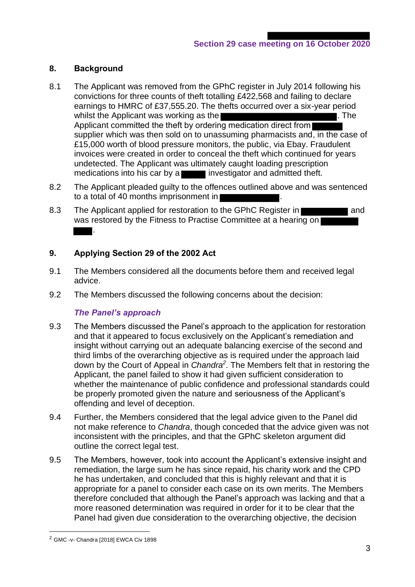# **8. Background**

- 8.1 The Applicant was removed from the GPhC register in July 2014 following his convictions for three counts of theft totalling £422,568 and failing to declare earnings to HMRC of £37,555.20. The thefts occurred over a six-year period whilst the Applicant was working as the **EXACTER SECTION CONSTRUCTS**. The Applicant committed the theft by ordering medication direct from supplier which was then sold on to unassuming pharmacists and, in the case of £15,000 worth of blood pressure monitors, the public, via Ebay. Fraudulent invoices were created in order to conceal the theft which continued for years undetected. The Applicant was ultimately caught loading prescription medications into his car by a **investigator** and admitted theft.
- 8.2 The Applicant pleaded guilty to the offences outlined above and was sentenced to a total of 40 months imprisonment in
- 8.3 The Applicant applied for restoration to the GPhC Register in was restored by the Fitness to Practise Committee at a hearing on .

# **9. Applying Section 29 of the 2002 Act**

- 9.1 The Members considered all the documents before them and received legal advice.
- 9.2 The Members discussed the following concerns about the decision:

# *The Panel's approach*

- 9.3 The Members discussed the Panel's approach to the application for restoration and that it appeared to focus exclusively on the Applicant's remediation and insight without carrying out an adequate balancing exercise of the second and third limbs of the overarching objective as is required under the approach laid down by the Court of Appeal in *Chandra<sup>2</sup>* . The Members felt that in restoring the Applicant, the panel failed to show it had given sufficient consideration to whether the maintenance of public confidence and professional standards could be properly promoted given the nature and seriousness of the Applicant's offending and level of deception.
- 9.4 Further, the Members considered that the legal advice given to the Panel did not make reference to *Chandra*, though conceded that the advice given was not inconsistent with the principles, and that the GPhC skeleton argument did outline the correct legal test.
- 9.5 The Members, however, took into account the Applicant's extensive insight and remediation, the large sum he has since repaid, his charity work and the CPD he has undertaken, and concluded that this is highly relevant and that it is appropriate for a panel to consider each case on its own merits. The Members therefore concluded that although the Panel's approach was lacking and that a more reasoned determination was required in order for it to be clear that the Panel had given due consideration to the overarching objective, the decision

<sup>2</sup> GMC -v- Chandra [2018] EWCA Civ 1898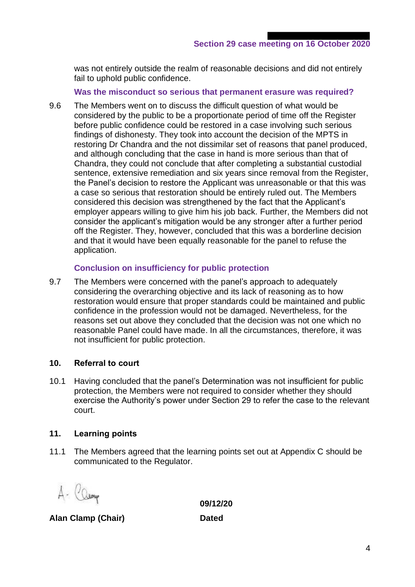was not entirely outside the realm of reasonable decisions and did not entirely fail to uphold public confidence.

**Was the misconduct so serious that permanent erasure was required?**

9.6 The Members went on to discuss the difficult question of what would be considered by the public to be a proportionate period of time off the Register before public confidence could be restored in a case involving such serious findings of dishonesty. They took into account the decision of the MPTS in restoring Dr Chandra and the not dissimilar set of reasons that panel produced, and although concluding that the case in hand is more serious than that of Chandra, they could not conclude that after completing a substantial custodial sentence, extensive remediation and six years since removal from the Register, the Panel's decision to restore the Applicant was unreasonable or that this was a case so serious that restoration should be entirely ruled out. The Members considered this decision was strengthened by the fact that the Applicant's employer appears willing to give him his job back. Further, the Members did not consider the applicant's mitigation would be any stronger after a further period off the Register. They, however, concluded that this was a borderline decision and that it would have been equally reasonable for the panel to refuse the application.

#### **Conclusion on insufficiency for public protection**

9.7 The Members were concerned with the panel's approach to adequately considering the overarching objective and its lack of reasoning as to how restoration would ensure that proper standards could be maintained and public confidence in the profession would not be damaged. Nevertheless, for the reasons set out above they concluded that the decision was not one which no reasonable Panel could have made. In all the circumstances, therefore, it was not insufficient for public protection.

#### **10. Referral to court**

10.1 Having concluded that the panel's Determination was not insufficient for public protection, the Members were not required to consider whether they should exercise the Authority's power under Section 29 to refer the case to the relevant court.

#### **11. Learning points**

11.1 The Members agreed that the learning points set out at Appendix C should be communicated to the Regulator.

A- Cleany

**09/12/20**

**Alan Clamp (Chair) Dated**